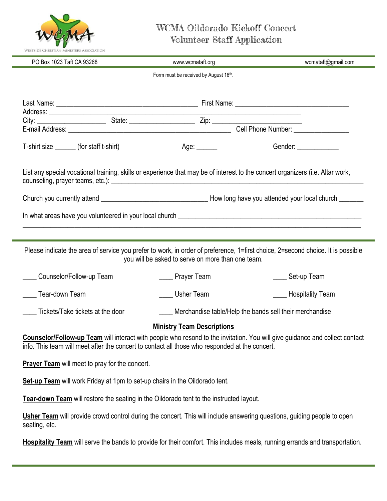

## WCMA Oildorado Kickoff Concert Volunteer Staff Application

| Westside Christian Ministers Association                                    |                                                                                                                                                                                                                               |                                   |
|-----------------------------------------------------------------------------|-------------------------------------------------------------------------------------------------------------------------------------------------------------------------------------------------------------------------------|-----------------------------------|
| PO Box 1023 Taft CA 93268                                                   | www.wcmataft.org                                                                                                                                                                                                              | wcmataft@gmail.com                |
|                                                                             | Form must be received by August 16th.                                                                                                                                                                                         |                                   |
|                                                                             |                                                                                                                                                                                                                               |                                   |
|                                                                             |                                                                                                                                                                                                                               |                                   |
|                                                                             |                                                                                                                                                                                                                               |                                   |
|                                                                             |                                                                                                                                                                                                                               |                                   |
| T-shirt size _______(for staff t-shirt)                                     | Age: ______                                                                                                                                                                                                                   | Gender: _____________             |
|                                                                             | List any special vocational training, skills or experience that may be of interest to the concert organizers (i.e. Altar work,                                                                                                |                                   |
|                                                                             |                                                                                                                                                                                                                               |                                   |
|                                                                             |                                                                                                                                                                                                                               |                                   |
|                                                                             | Please indicate the area of service you prefer to work, in order of preference, 1=first choice, 2=second choice. It is possible<br>you will be asked to serve on more than one team.                                          |                                   |
| Counselor/Follow-up Team                                                    | <u>_</u> ___ Prayer Team                                                                                                                                                                                                      | Set-up Team                       |
| Tear-down Team                                                              | Usher Team                                                                                                                                                                                                                    | <b>Example 3</b> Hospitality Team |
| Tickets/Take tickets at the door                                            | Merchandise table/Help the bands sell their merchandise                                                                                                                                                                       |                                   |
|                                                                             | <b>Ministry Team Descriptions</b>                                                                                                                                                                                             |                                   |
|                                                                             | Counselor/Follow-up Team will interact with people who resond to the invitation. You will give guidance and collect contact<br>info. This team will meet after the concert to contact all those who responded at the concert. |                                   |
| Prayer Team will meet to pray for the concert.                              |                                                                                                                                                                                                                               |                                   |
| Set-up Team will work Friday at 1pm to set-up chairs in the Oildorado tent. |                                                                                                                                                                                                                               |                                   |
|                                                                             | Tear-down Team will restore the seating in the Oildorado tent to the instructed layout.                                                                                                                                       |                                   |
| seating, etc.                                                               | Usher Team will provide crowd control during the concert. This will include answering questions, guiding people to open                                                                                                       |                                   |
|                                                                             | Hospitality Team will serve the bands to provide for their comfort. This includes meals, running errands and transportation.                                                                                                  |                                   |